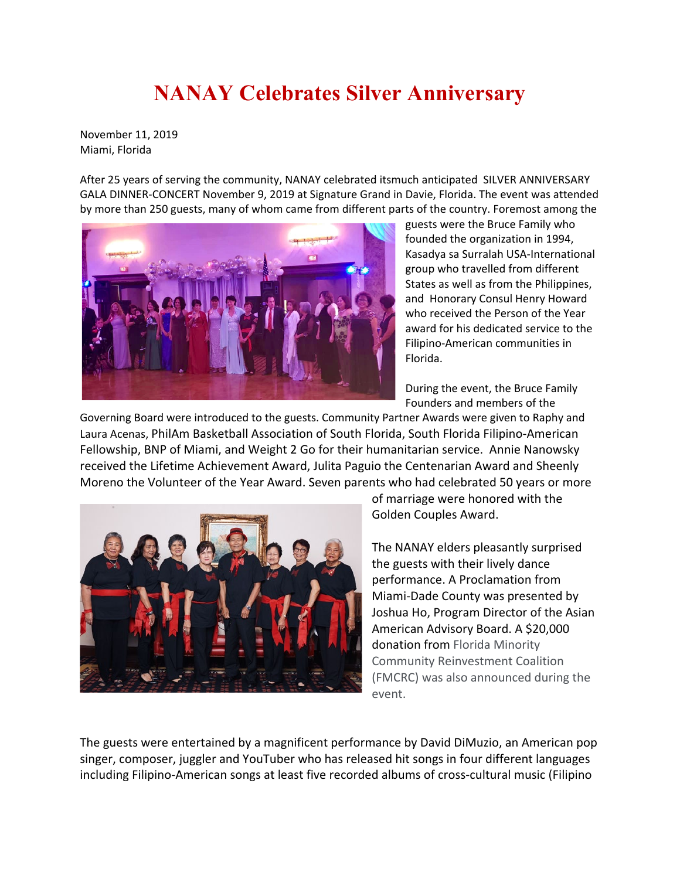## **NANAY Celebrates Silver Anniversary**

November 11, 2019 Miami, Florida

After 25 years of serving the community, NANAY celebrated itsmuch anticipated SILVER ANNIVERSARY GALA DINNER-CONCERT November 9, 2019 at Signature Grand in Davie, Florida. The event was attended by more than 250 guests, many of whom came from different parts of the country. Foremost among the



guests were the Bruce Family who founded the organization in 1994, Kasadya sa Surralah USA-International group who travelled from different States as well as from the Philippines, and Honorary Consul Henry Howard who received the Person of the Year award for his dedicated service to the Filipino-American communities in Florida.

During the event, the Bruce Family Founders and members of the

Governing Board were introduced to the guests. Community Partner Awards were given to Raphy and Laura Acenas, PhilAm Basketball Association of South Florida, South Florida Filipino-American Fellowship, BNP of Miami, and Weight 2 Go for their humanitarian service. Annie Nanowsky received the Lifetime Achievement Award, Julita Paguio the Centenarian Award and Sheenly Moreno the Volunteer of the Year Award. Seven parents who had celebrated 50 years or more



of marriage were honored with the Golden Couples Award.

The NANAY elders pleasantly surprised the guests with their lively dance performance. A Proclamation from Miami-Dade County was presented by Joshua Ho, Program Director of the Asian American Advisory Board. A \$20,000 donation from Florida Minority Community Reinvestment Coalition (FMCRC) was also announced during the event.

The guests were entertained by a magnificent performance by David DiMuzio, an American pop singer, composer, juggler and YouTuber who has released hit songs in four different languages including Filipino-American songs at least five recorded albums of cross-cultural music (Filipino